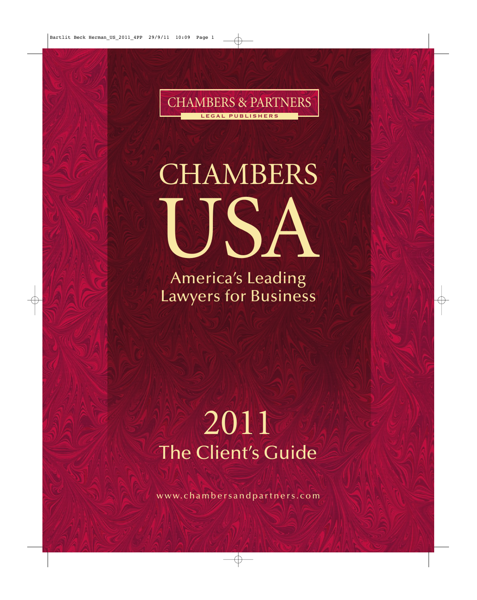

# **CHAMBERS** USA

America's Leading Lawyers for Business

## 2011 The Client's Guide

www.chambersandpartners.com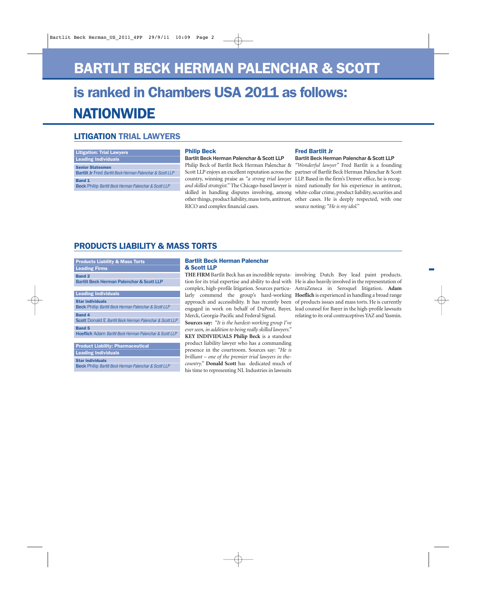## BARTLIT BECK HERMAN PALENCHAR & SCOTT

## **NATIONWIDE** is ranked in Chambers USA 2011 as follows:

#### LITIGATION TRIAL LAWYERS

#### Litigation: Trial Lawyers

Leading Individuals

Senior Statesmen **Bartlit Jr** Fred Bartlit Beck Herman Palenchar & Scott LLP

Band 1

**Beck** Philip Bartlit Beck Herman Palenchar & Scott LLP

#### Philip Beck

#### **Bartlit Beck Herman Palenchar & Scott LLP**

Philip Beck of Bartlit Beck Herman Palenchar & Scott LLP enjoys an excellent reputation across the skilled in handling disputes involving, among RICO and complex financial cases.

#### Fred Bartlit Jr

**Bartlit Beck Herman Palenchar & Scott LLP**

country, winning praise as *"a strong trial lawyer* LLP. Based in the firm's Denver office, he is recog*and skilled strategist."* The Chicago-based lawyer is nized nationally for his experience in antitrust, other things, product liability, mass torts, antitrust, other cases. He is deeply respected, with one *"Wonderful lawyer"* Fred Bartlit is a founding partner of Bartlit Beck Herman Palenchar & Scott white-collar crime, product liability, securities and source noting: *"He is my idol."*

#### PRODUCTS LIABILITY & MASS TORTS

| <b>Products Liability &amp; Mass Torts</b>                                                  |
|---------------------------------------------------------------------------------------------|
| <b>Leading Firms</b>                                                                        |
| <b>Band 2</b><br><b>Bartlit Beck Herman Palenchar &amp; Scott LLP</b>                       |
| <b>Leading Individuals</b>                                                                  |
| <b>Star individuals</b><br><b>Beck Philip Bartlit Beck Herman Palenchar &amp; Scott LLP</b> |
| <b>Band 4</b><br><b>Scott</b> Donald E Bartlit Beck Herman Palenchar & Scott LLP            |
| <b>Band 5</b><br><b>Hoeflich Adam Bartlit Beck Herman Palenchar &amp; Scott LLP</b>         |
| <b>Product Liability: Pharmaceutical</b>                                                    |

**Leading Individuals** 

Star individuals

**Beck** Philip Bartlit Beck Herman Palenchar & Scott LLP

#### Bartlit Beck Herman Palenchar & Scott LLP

Merck, Georgia-Pacific and Federal Signal.

**Sources say:** *"It is the hardest-working group I've ever seen, in addition to being really skilled lawyers."* **KEY INDIVIDUALS Philip Beck** is a standout product liability lawyer who has a commanding presence in the courtroom. Sources say: *"He is brilliant – one of the premier trial lawyers in thecountry."* **Donald Scott** has dedicated much of his time to representing NL Industries in lawsuits

**THE FIRM** Bartlit Beck has an incredible reputa-involving Dutch Boy lead paint products. tion for its trial expertise and ability to deal with He is also heavily involved in the representation of complex, high-profile litigation. Sources particu-AstraZeneca in Seroquel litigation. **Adam**  larly commend the group's hard-working **Hoeflich** is experienced in handling a broad range approach and accessibility. It has recently been of products issues and mass torts. He is currently engaged in work on behalf of DuPont, Bayer, lead counsel for Bayer in the high-profile lawsuits relating to its oral contraceptives YAZ and Yasmin.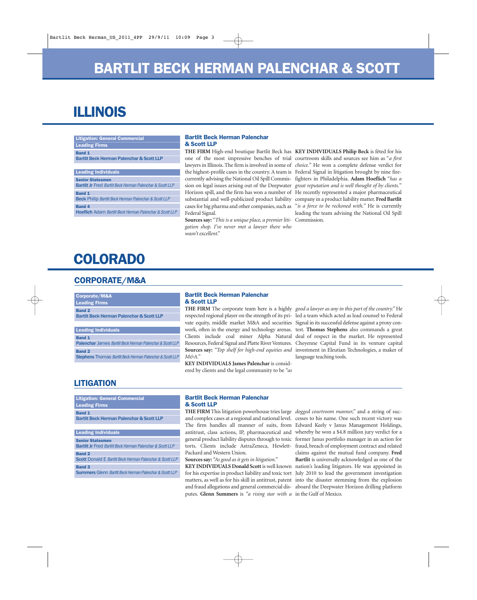## ILLINOIS

| <b>Litigation: General Commercial</b>                                                       |
|---------------------------------------------------------------------------------------------|
| <b>Leading Firms</b>                                                                        |
| <b>Band 1</b><br><b>Bartlit Beck Herman Palenchar &amp; Scott LLP</b>                       |
| <b>Leading Individuals</b>                                                                  |
| <b>Senior Statesmen</b><br><b>Bartlit Jr</b> Fred Bartlit Beck Herman Palenchar & Scott LLP |
| <b>Band 1</b><br><b>Beck Philip Bartlit Beck Herman Palenchar &amp; Scott LLP</b>           |
| <b>Band 4</b><br><b>Hoeflich</b> Adam Bartlit Beck Herman Palenchar & Scott LLP             |

#### Bartlit Beck Herman Palenchar & Scott LLP

cases for big pharma and other companies, such as Federal Signal.

**Sources say:** "*This is a unique place, a premier liti-*Commission. *gation shop. I've never met a lawyer there who wasn't excellent*."

**THE FIRM** High-end boutique Bartlit Beck has **KEY INDIVIDUALS Philip Beck** is fêted for his one of the most impressive benches of trial courtroom skills and sources see him as "*a first* lawyers in Illinois. The firm is involved in some of *choice.*" He won a complete defense verdict for the highest-profile cases in the country. A team is Federal Signal in litigation brought by nine firecurrently advising the National Oil Spill Commis-fighters in Philadelphia. **Adam Hoeflich** "*has a* sion on legal issues arising out of the Deepwater *great reputation and is well thought of by clients.*" Horizon spill, and the firm has won a number of He recently represented a major pharmaceutical substantial and well-publicized product liability company in a product liability matter.**Fred Bartlit** "*is a force to be reckoned with.*" He is currently leading the team advising the National Oil Spill

### COLORAD0

#### CORPORATE/M&A

| Corporate/M&A                                        |
|------------------------------------------------------|
| <b>Leading Firms</b>                                 |
| <b>Band 2</b>                                        |
| <b>Bartlit Beck Herman Palenchar &amp; Scott LLP</b> |
|                                                      |
| <b>Leading Individuals</b>                           |
|                                                      |

| <b>Band 1</b>                                                        |
|----------------------------------------------------------------------|
| <b>Palenchar James Bartlit Beck Herman Palenchar &amp; Scott LLP</b> |
| <b>Band 2</b>                                                        |
| <b>Stephens Thomas Bartlit Beck Herman Palenchar &amp; Scott LLP</b> |

#### Bartlit Beck Herman Palenchar & Scott LLP

*M&A."*

**KEY INDIVIDUALS James Palenchar** is considered by clients and the legal community to be *"as* 

**THE FIRM** The corporate team here is a highly *good a lawyer as any in this part of the country."* He respected regional player on the strength of its pri-led a team which acted as lead counsel to Federal vate equity, middle market M&A and securities Signal in its successful defense against a proxy conwork, often in the energy and technology arenas. test. **Thomas Stephens** also commands a great Clients include coal miner Alpha Natural deal of respect in the market. He represented Resources, Federal Signal and Platte River Ventures. Cheyenne Capital Fund in its venture capital **Sources say:** *"Top shelf for high-end equities and* investment in Eleutian Technologies, a maker of language teaching tools.

#### **LITIGATION**

| <b>Litigation: General Commercial</b>                                |
|----------------------------------------------------------------------|
| <b>Leading Firms</b>                                                 |
| <b>Band 1</b>                                                        |
| <b>Bartlit Beck Herman Palenchar &amp; Scott LLP</b>                 |
|                                                                      |
| <b>Leading Individuals</b>                                           |
| <b>Senior Statesmen</b>                                              |
| <b>Bartlit Jr Fred Bartlit Beck Herman Palenchar &amp; Scott LLP</b> |
| <b>Band 2</b>                                                        |
| <b>Scott Donald E Bartlit Beck Herman Palenchar &amp; Scott LLP</b>  |
| <b>Band 3</b>                                                        |
| <b>Summers Glenn Bartlit Beck Herman Palenchar &amp; Scott LLP</b>   |

#### Bartlit Beck Herman Palenchar & Scott LLP

**THE FIRM** This litigation powerhouse tries large *dogged courtroom manner,"* and a string of sucand complex cases at a regional and national level. cesses to his name. One such recent victory was The firm handles all manner of suits, from Edward Keely v Janus Management Holdings, antitrust, class actions, IP, pharmaceutical and whereby he won a \$4.8 million jury verdict for a general product liability disputes through to toxic former Janus portfolio manager in an action for torts. Clients include AstraZeneca, Hewlett-fraud, breach of employment contract and related Packard and Western Union.

**Sources say:** *"As good as it gets in litigation."*

**KEY INDIVIDUALS Donald Scott** is well known nation's leading litigators. He was appointed in for his expertise in product liability and toxic tort matters, as well as for his skill in antitrust, patent into the disaster stemming from the explosion and fraud allegations and general commercial dis-aboard the Deepwater Horizon drilling platform putes. **Glenn Summers** is *"a rising star with a*  in the Gulf of Mexico.

claims against the mutual fund company. **Fred Bartlit** is universally acknowledged as one of the July 2010 to lead the government investigation